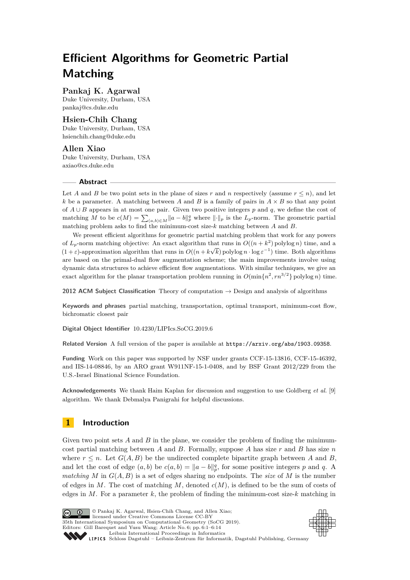# **Efficient Algorithms for Geometric Partial Matching**

# **Pankaj K. Agarwal**

Duke University, Durham, USA [pankaj@cs.duke.edu](mailto:pankaj@cs.duke.edu)

# **Hsien-Chih Chang**

Duke University, Durham, USA [hsienchih.chang@duke.edu](mailto:hsienchih.chang@duke.edu)

### **Allen Xiao** Duke University, Durham, USA [axiao@cs.duke.edu](mailto:axiao@cs.duke.edu)

## **Abstract**

Let *A* and *B* be two point sets in the plane of sizes *r* and *n* respectively (assume  $r \leq n$ ), and let *k* be a parameter. A matching between *A* and *B* is a family of pairs in  $A \times B$  so that any point of *A* ∪ *B* appears in at most one pair. Given two positive integers *p* and *q*, we define the cost of matching *M* to be  $c(M) = \sum_{(a,b)\in M} ||a-b||_p^q$  where  $||\cdot||_p$  is the  $L_p$ -norm. The geometric partial matching problem asks to find the minimum-cost size-*k* matching between *A* and *B*.

We present efficient algorithms for geometric partial matching problem that work for any powers of  $L_p$ -norm matching objective: An exact algorithm that runs in  $O((n+k^2))$  polylog *n*) time, and a  $(1 + \varepsilon)$ -approximation algorithm that runs in  $O((n + k\sqrt{k})$  polylog  $n \cdot \log \varepsilon^{-1})$  time. Both algorithms are based on the primal-dual flow augmentation scheme; the main improvements involve using dynamic data structures to achieve efficient flow augmentations. With similar techniques, we give an exact algorithm for the planar transportation problem running in  $O(\min\{n^2, rn^{3/2}\})$  polylog *n*) time.

**2012 ACM Subject Classification** Theory of computation  $\rightarrow$  Design and analysis of algorithms

**Keywords and phrases** partial matching, transportation, optimal transport, minimum-cost flow, bichromatic closest pair

**Digital Object Identifier** [10.4230/LIPIcs.SoCG.2019.6](https://doi.org/10.4230/LIPIcs.SoCG.2019.6)

**Related Version** A full version of the paper is available at <https://arxiv.org/abs/1903.09358>.

**Funding** Work on this paper was supported by NSF under grants CCF-15-13816, CCF-15-46392, and IIS-14-08846, by an ARO grant W911NF-15-1-0408, and by BSF Grant 2012/229 from the U.S.-Israel Binational Science Foundation.

**Acknowledgements** We thank Haim Kaplan for discussion and suggestion to use Goldberg *et al.* [\[9\]](#page-12-0) algorithm. We thank Debmalya Panigrahi for helpful discussions.

# **1 Introduction**

Given two point sets *A* and *B* in the plane, we consider the problem of finding the minimumcost partial matching between *A* and *B*. Formally, suppose *A* has size *r* and *B* has size *n* where  $r \leq n$ . Let  $G(A, B)$  be the undirected complete bipartite graph between A and B, and let the cost of edge  $(a, b)$  be  $c(a, b) = ||a - b||_p^q$ , for some positive integers *p* and *q*. A *matching M* in  $G(A, B)$  is a set of edges sharing no endpoints. The *size* of *M* is the number of edges in *M*. The cost of matching *M*, denoted *c*(*M*), is defined to be the sum of costs of edges in  $M$ . For a parameter  $k$ , the problem of finding the minimum-cost size- $k$  matching in



© Pankaj K. Agarwal, Hsien-Chih Chang, and Allen Xiao; licensed under Creative Commons License CC-BY 35th International Symposium on Computational Geometry (SoCG 2019). Editors: Gill Barequet and Yusu Wang; Article No. 6; pp. 6:1–6[:14](#page-13-0) [Leibniz International Proceedings in Informatics](https://www.dagstuhl.de/lipics/)



[Schloss Dagstuhl – Leibniz-Zentrum für Informatik, Dagstuhl Publishing, Germany](https://www.dagstuhl.de)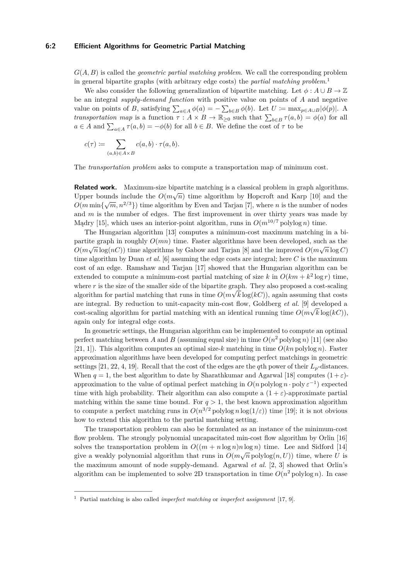#### **6:2 Efficient Algorithms for Geometric Partial Matching**

*G*(*A, B*) is called the *geometric partial matching problem*. We call the corresponding problem in general bipartite graphs (with arbitrary edge costs) the *partial matching problem*. [1](#page-1-0)

We also consider the following generalization of bipartite matching. Let  $\phi: A \cup B \to \mathbb{Z}$ be an integral *supply-demand function* with positive value on points of *A* and negative value on points of *B*, satisfying  $\sum_{a \in A} \phi(a) = -\sum_{b \in B} \phi(b)$ . Let  $U \coloneqq \max_{p \in A \cup B} |\phi(p)|$ . A *transportation map* is a function  $\tau : A \times B \to \mathbb{R}_{\geq 0}$  such that  $\sum_{b \in B} \tau(a, b) = \phi(a)$  for all  $a \in A$  and  $\sum_{a \in A} \tau(a, b) = -\phi(b)$  for all  $b \in B$ . We define the cost of  $\tau$  to be

$$
c(\tau) \coloneqq \sum_{(a,b) \in A \times B} c(a,b) \cdot \tau(a,b).
$$

The *transportation problem* asks to compute a transportation map of minimum cost.

**Related work.** Maximum-size bipartite matching is a classical problem in graph algorithms. Upper bounds include the  $O(m\sqrt{n})$  time algorithm by Hopcroft and Karp [\[10\]](#page-12-1) and the  $O(m \min{\{\sqrt{m}, n^{2/3}\}})$  time algorithm by Even and Tarjan [\[7\]](#page-12-2), where *n* is the number of nodes and *m* is the number of edges. The first improvement in over thirty years was made by Madry [\[15\]](#page-13-1), which uses an interior-point algorithm, runs in  $O(m^{10/7} \text{polylog } n)$  time.

The Hungarian algorithm [\[13\]](#page-12-3) computes a minimum-cost maximum matching in a bipartite graph in roughly  $O(mn)$  time. Faster algorithms have been developed, such as the  $O(m\sqrt{n}\log(nC))$  time algorithms by Gabow and Tarjan [\[8\]](#page-12-4) and the improved  $O(m\sqrt{n}\log C)$ time algorithm by Duan *et al.* [\[6\]](#page-12-5) assuming the edge costs are integral; here *C* is the maximum cost of an edge. Ramshaw and Tarjan [\[17\]](#page-13-2) showed that the Hungarian algorithm can be extended to compute a minimum-cost partial matching of size *k* in  $O(km + k^2 \log r)$  time, where  $r$  is the size of the smaller side of the bipartite graph. They also proposed a cost-scaling algorithm for partial matching that runs in time  $O(m\sqrt{k}\log(kC))$ , again assuming that costs are integral. By reduction to unit-capacity min-cost flow, Goldberg *et al.* [\[9\]](#page-12-0) developed a cost-scaling algorithm for partial matching with an identical running time  $O(m\sqrt{k}\log(kC))$ , again only for integral edge costs.

In geometric settings, the Hungarian algorithm can be implemented to compute an optimal perfect matching between *A* and *B* (assuming equal size) in time  $O(n^2 \text{ polylog } n)$  [\[11\]](#page-12-6) (see also [\[21,](#page-13-3) [1\]](#page-12-7)). This algorithm computes an optimal size-*k* matching in time *O*(*kn* polylog *n*). Faster approximation algorithms have been developed for computing perfect matchings in geometric settings [\[21,](#page-13-3) [22,](#page-13-4) [4,](#page-12-8) [19\]](#page-13-5). Recall that the cost of the edges are the *q*th power of their  $L_p$ -distances. When  $q = 1$ , the best algorithm to date by Sharathkumar and Agarwal [\[18\]](#page-13-6) computes  $(1 + \varepsilon)$ approximation to the value of optimal perfect matching in  $O(n \text{ polylog} n \cdot \text{poly} \varepsilon^{-1})$  expected time with high probability. Their algorithm can also compute a  $(1 + \varepsilon)$ -approximate partial matching within the same time bound. For  $q > 1$ , the best known approximation algorithm to compute a perfect matching runs in  $O(n^{3/2} \text{ polylog } n \log(1/\varepsilon))$  time [\[19\]](#page-13-5); it is not obvious how to extend this algorithm to the partial matching setting.

The transportation problem can also be formulated as an instance of the minimum-cost flow problem. The strongly polynomial uncapacitated min-cost flow algorithm by Orlin [\[16\]](#page-13-7) solves the transportation problem in  $O((m + n \log n)n \log n)$  time. Lee and Sidford [\[14\]](#page-12-9) give a weakly polynomial algorithm that runs in  $O(m\sqrt{n}\text{ polylog}(n, U))$  time, where *U* is the maximum amount of node supply-demand. Agarwal *et al.* [\[2,](#page-12-10) [3\]](#page-12-11) showed that Orlin's algorithm can be implemented to solve 2D transportation in time  $O(n^2)$  polylog *n*). In case

<span id="page-1-0"></span><sup>1</sup> Partial matching is also called *imperfect matching* or *imperfect assignment* [\[17,](#page-13-2) [9\]](#page-12-0).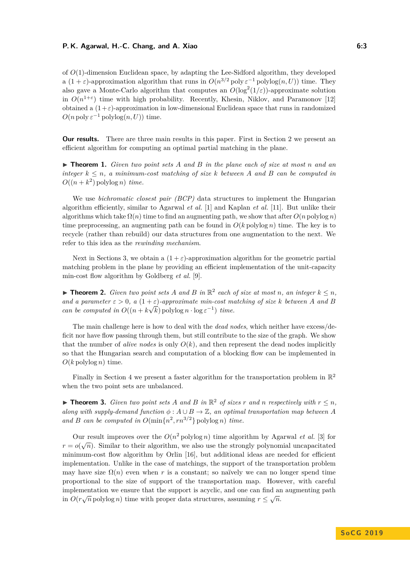#### **P. K. Agarwal, H.-C. Chang, and A. Xiao 6:3**

of *O*(1)-dimension Euclidean space, by adapting the Lee-Sidford algorithm, they developed a  $(1 + \varepsilon)$ -approximation algorithm that runs in  $O(n^{3/2} \text{ poly }\varepsilon^{-1} \text{ polylog}(n, U))$  time. They also gave a Monte-Carlo algorithm that computes an  $O(\log^2(1/\varepsilon))$ -approximate solution in  $O(n^{1+\epsilon})$  time with high probability. Recently, Khesin, Niklov, and Paramonov [\[12\]](#page-12-12) obtained a  $(1+\varepsilon)$ -approximation in low-dimensional Euclidean space that runs in randomized  $O(n \text{ poly } \varepsilon^{-1} \text{ polylog}(n, U))$  time.

**Our results.** There are three main results in this paper. First in Section [2](#page-3-0) we present an efficient algorithm for computing an optimal partial matching in the plane.

<span id="page-2-0"></span>I **Theorem 1.** *Given two point sets A and B in the plane each of size at most n and an integer*  $k \leq n$ , a minimum-cost matching of size  $k$  between  $A$  and  $B$  can be computed in  $O((n+k^2)$  polylog *n*) *time.* 

We use *bichromatic closest pair (BCP)* data structures to implement the Hungarian algorithm efficiently, similar to Agarwal *et al.* [\[1\]](#page-12-7) and Kaplan *et al.* [\[11\]](#page-12-6). But unlike their algorithms which take  $\Omega(n)$  time to find an augmenting path, we show that after  $O(n \text{ polylog } n)$ time preprocessing, an augmenting path can be found in  $O(k \text{ polylog } n)$  time. The key is to recycle (rather than rebuild) our data structures from one augmentation to the next. We refer to this idea as the *rewinding mechanism*.

Next in Sections [3,](#page-4-0) we obtain a  $(1 + \varepsilon)$ -approximation algorithm for the geometric partial matching problem in the plane by providing an efficient implementation of the unit-capacity min-cost flow algorithm by Goldberg *et al.* [\[9\]](#page-12-0).

<span id="page-2-1"></span>▶ **Theorem 2.** *Given two point sets A and B in*  $\mathbb{R}^2$  *each of size at most n*, *an integer*  $k ≤ n$ *, and a parameter*  $\varepsilon > 0$ ,  $a(1 + \varepsilon)$ -*approximate min-cost matching of size k between A and B can be computed in*  $O((n + k\sqrt{k}) \text{polylog } n \cdot \log \varepsilon^{-1})$  *time.* 

The main challenge here is how to deal with the *dead nodes*, which neither have excess/deficit nor have flow passing through them, but still contribute to the size of the graph. We show that the number of *alive nodes* is only  $O(k)$ , and then represent the dead nodes implicitly so that the Hungarian search and computation of a blocking flow can be implemented in  $O(k \text{ polylog } n)$  time.

Finally in Section [4](#page-10-0) we present a faster algorithm for the transportation problem in  $\mathbb{R}^2$ when the two point sets are unbalanced.

<span id="page-2-2"></span>▶ **Theorem 3.** *Given two point sets A and B in*  $\mathbb{R}^2$  *of sizes r and n respectively with*  $r ≤ n$ *, along with supply-demand function*  $\phi: A \cup B \rightarrow \mathbb{Z}$ , an optimal transportation map between *A* and *B* can be computed in  $O(\min\{n^2, rn^{3/2}\}\text{polylog }n)$  time.

Our result improves over the  $O(n^2)$  polylog *n*) time algorithm by Agarwal *et al.* [\[3\]](#page-12-11) for  $r = o(\sqrt{n})$ . Similar to their algorithm, we also use the strongly polynomial uncapacitated minimum-cost flow algorithm by Orlin [\[16\]](#page-13-7), but additional ideas are needed for efficient implementation. Unlike in the case of matchings, the support of the transportation problem may have size  $\Omega(n)$  even when r is a constant; so naïvely we can no longer spend time proportional to the size of support of the transportation map. However, with careful implementation we ensure that the support is acyclic, and one can find an augmenting path in  $O(r\sqrt{n})$  polylog *n*) time with proper data structures, assuming  $r \leq \sqrt{n}$ .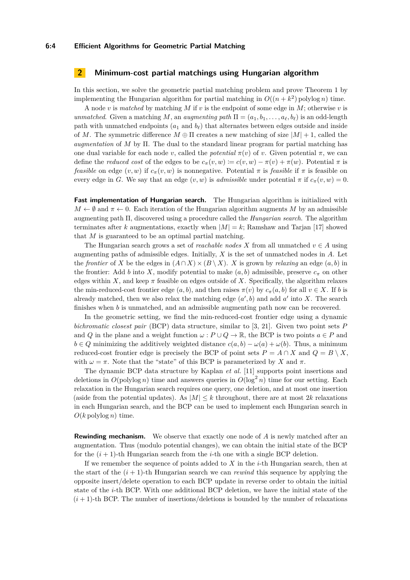#### **6:4 Efficient Algorithms for Geometric Partial Matching**

# <span id="page-3-0"></span>**2 Minimum-cost partial matchings using Hungarian algorithm**

In this section, we solve the geometric partial matching problem and prove Theorem [1](#page-2-0) by implementing the Hungarian algorithm for partial matching in  $O((n + k^2)$  polylog *n*) time.

A node *v* is *matched* by matching *M* if *v* is the endpoint of some edge in *M*; otherwise *v* is *unmatched.* Given a matching *M*, an *augmenting path*  $\Pi = (a_1, b_1, \ldots, a_\ell, b_\ell)$  is an odd-length path with unmatched endpoints  $(a_1 \text{ and } b_\ell)$  that alternates between edges outside and inside of *M*. The symmetric difference  $M \oplus \Pi$  creates a new matching of size  $|M| + 1$ , called the *augmentation* of *M* by Π. The dual to the standard linear program for partial matching has one dual variable for each node *v*, called the *potential*  $\pi(v)$  of *v*. Given potential  $\pi$ , we can define the *reduced cost* of the edges to be  $c_{\pi}(v, w) := c(v, w) - \pi(v) + \pi(w)$ . Potential  $\pi$  is *feasible* on edge  $(v, w)$  if  $c_{\pi}(v, w)$  is nonnegative. Potential  $\pi$  is *feasible* if  $\pi$  is feasible on every edge in *G*. We say that an edge  $(v, w)$  is *admissible* under potential  $\pi$  if  $c_{\pi}(v, w) = 0$ .

**Fast implementation of Hungarian search.** The Hungarian algorithm is initialized with  $M \leftarrow \emptyset$  and  $\pi \leftarrow 0$ . Each iteration of the Hungarian algorithm augments M by an admissible augmenting path Π, discovered using a procedure called the *Hungarian search*. The algorithm terminates after *k* augmentations, exactly when  $|M| = k$ ; Ramshaw and Tarjan [\[17\]](#page-13-2) showed that *M* is guaranteed to be an optimal partial matching.

The Hungarian search grows a set of *reachable nodes X* from all unmatched  $v \in A$  using augmenting paths of admissible edges. Initially, *X* is the set of unmatched nodes in *A*. Let the *frontier* of *X* be the edges in  $(A \cap X) \times (B \setminus X)$ . *X* is grown by *relaxing* an edge  $(a, b)$  in the frontier: Add *b* into *X*, modify potential to make  $(a, b)$  admissible, preserve  $c_{\pi}$  on other edges within *X*, and keep  $\pi$  feasible on edges outside of *X*. Specifically, the algorithm relaxes the min-reduced-cost frontier edge  $(a, b)$ , and then raises  $\pi(v)$  by  $c_{\pi}(a, b)$  for all  $v \in X$ . If *b* is already matched, then we also relax the matching edge  $(a', b)$  and add  $a'$  into X. The search finishes when *b* is unmatched, and an admissible augmenting path now can be recovered.

In the geometric setting, we find the min-reduced-cost frontier edge using a dynamic *bichromatic closest pair* (BCP) data structure, similar to [\[3,](#page-12-11) [21\]](#page-13-3). Given two point sets *P* and *Q* in the plane and a weight function  $\omega$ :  $P \cup Q \rightarrow \mathbb{R}$ , the BCP is two points  $a \in P$  and *b* ∈ *Q* minimizing the additively weighted distance  $c(a, b) - \omega(a) + \omega(b)$ . Thus, a minimum reduced-cost frontier edge is precisely the BCP of point sets  $P = A \cap X$  and  $Q = B \setminus X$ , with  $\omega = \pi$ . Note that the "state" of this BCP is parameterized by *X* and  $\pi$ .

The dynamic BCP data structure by Kaplan *et al.* [\[11\]](#page-12-6) supports point insertions and deletions in  $O(polylog n)$  time and answers queries in  $O(log^2 n)$  time for our setting. Each relaxation in the Hungarian search requires one query, one deletion, and at most one insertion (aside from the potential updates). As  $|M| \leq k$  throughout, there are at most 2k relaxations in each Hungarian search, and the BCP can be used to implement each Hungarian search in  $O(k \text{ polylog } n)$  time.

**Rewinding mechanism.** We observe that exactly one node of A is newly matched after an augmentation. Thus (modulo potential changes), we can obtain the initial state of the BCP for the  $(i+1)$ -th Hungarian search from the *i*-th one with a single BCP deletion.

If we remember the sequence of points added to *X* in the *i*-th Hungarian search, then at the start of the  $(i + 1)$ -th Hungarian search we can *rewind* this sequence by applying the opposite insert/delete operation to each BCP update in reverse order to obtain the initial state of the *i*-th BCP. With one additional BCP deletion, we have the initial state of the  $(i+1)$ -th BCP. The number of insertions/deletions is bounded by the number of relaxations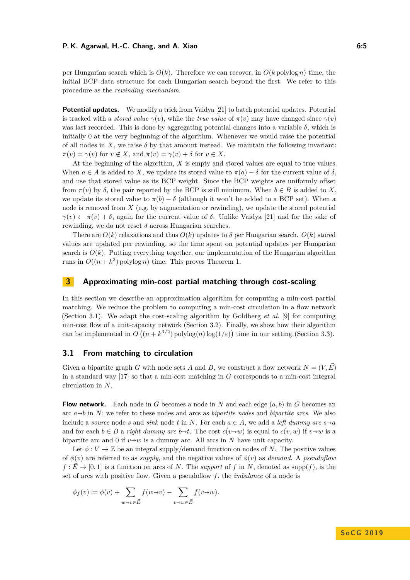#### **P. K. Agarwal, H.-C. Chang, and A. Xiao 6:5**

per Hungarian search which is  $O(k)$ . Therefore we can recover, in  $O(k \text{ polylog } n)$  time, the initial BCP data structure for each Hungarian search beyond the first. We refer to this procedure as the *rewinding mechanism*.

**Potential updates.** We modify a trick from Vaidya [\[21\]](#page-13-3) to batch potential updates. Potential is tracked with a *stored value*  $\gamma(v)$ , while the *true value* of  $\pi(v)$  may have changed since  $\gamma(v)$ was last recorded. This is done by aggregating potential changes into a variable  $\delta$ , which is initially 0 at the very beginning of the algorithm. Whenever we would raise the potential of all nodes in  $X$ , we raise  $\delta$  by that amount instead. We maintain the following invariant:  $\pi(v) = \gamma(v)$  for  $v \notin X$ , and  $\pi(v) = \gamma(v) + \delta$  for  $v \in X$ .

At the beginning of the algorithm, *X* is empty and stored values are equal to true values. When  $a \in A$  is added to *X*, we update its stored value to  $\pi(a) - \delta$  for the current value of  $\delta$ . and use that stored value as its BCP weight. Since the BCP weights are uniformly offset from  $\pi(v)$  by  $\delta$ , the pair reported by the BCP is still minimum. When  $b \in B$  is added to X, we update its stored value to  $\pi(b) - \delta$  (although it won't be added to a BCP set). When a node is removed from *X* (e.g. by augmentation or rewinding), we update the stored potential  $\gamma(v) \leftarrow \pi(v) + \delta$ , again for the current value of  $\delta$ . Unlike Vaidya [\[21\]](#page-13-3) and for the sake of rewinding, we do not reset *δ* across Hungarian searches.

There are  $O(k)$  relaxations and thus  $O(k)$  updates to  $\delta$  per Hungarian search.  $O(k)$  stored values are updated per rewinding, so the time spent on potential updates per Hungarian search is  $O(k)$ . Putting everything together, our implementation of the Hungarian algorithm runs in  $O((n + k^2)$  polylog *n*) time. This proves Theorem [1.](#page-2-0)

# <span id="page-4-0"></span>**3 Approximating min-cost partial matching through cost-scaling**

In this section we describe an approximation algorithm for computing a min-cost partial matching. We reduce the problem to computing a min-cost circulation in a flow network (Section [3.1\)](#page-4-1). We adapt the cost-scaling algorithm by Goldberg *et al.* [\[9\]](#page-12-0) for computing min-cost flow of a unit-capacity network (Section [3.2\)](#page-5-0). Finally, we show how their algorithm can be implemented in  $O((n + k^{3/2}) \text{polylog}(n) \log(1/\varepsilon))$  time in our setting (Section [3.3\)](#page-8-0).

# <span id="page-4-1"></span>**3.1 From matching to circulation**

Given a bipartite graph *G* with node sets *A* and *B*, we construct a flow network  $N = (V, E)$ in a standard way [\[17\]](#page-13-2) so that a min-cost matching in *G* corresponds to a min-cost integral circulation in *N*.

**Flow network.** Each node in *G* becomes a node in *N* and each edge  $(a, b)$  in *G* becomes an arc  $a \rightarrow b$  in *N*; we refer to these nodes and arcs as *bipartite nodes* and *bipartite arcs*. We also include a *source* node *s* and *sink* node *t* in *N*. For each  $a \in A$ , we add a *left dummy arc*  $s \rightarrow a$ and for each  $b \in B$  a *right dummy arc*  $b \rightarrow t$ . The cost  $c(v \rightarrow w)$  is equal to  $c(v, w)$  if  $v \rightarrow w$  is a bipartite arc and 0 if  $v \rightarrow w$  is a dummy arc. All arcs in *N* have unit capacity.

Let  $\phi: V \to \mathbb{Z}$  be an integral supply/demand function on nodes of *N*. The positive values of  $\phi(v)$  are referred to as *supply*, and the negative values of  $\phi(v)$  as *demand*. A *pseudoflow*  $f: \vec{E} \to [0, 1]$  is a function on arcs of *N*. The *support* of *f* in *N*, denoted as supp(*f*), is the set of arcs with positive flow. Given a pseudoflow *f*, the *imbalance* of a node is

$$
\phi_f(v) := \phi(v) + \sum_{w \to v \in \vec{E}} f(w \to v) - \sum_{v \to w \in \vec{E}} f(v \to w).
$$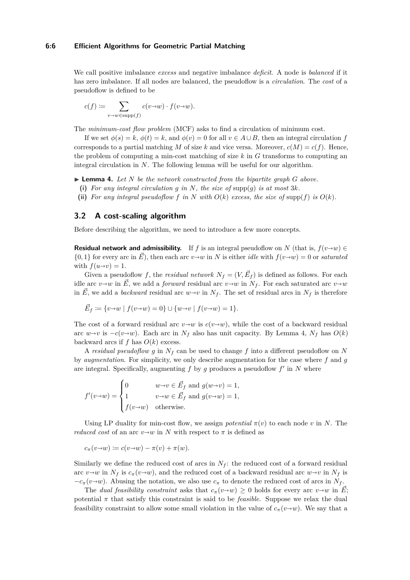#### **6:6 Efficient Algorithms for Geometric Partial Matching**

We call positive imbalance *excess* and negative imbalance *deficit*. A node is *balanced* if it has zero imbalance. If all nodes are balanced, the pseudoflow is a *circulation*. The *cost* of a pseudoflow is defined to be

$$
c(f) := \sum_{v \to w \in \text{supp}(f)} c(v \to w) \cdot f(v \to w).
$$

The *minimum-cost flow problem* (MCF) asks to find a circulation of minimum cost.

If we set  $\phi(s) = k$ ,  $\phi(t) = k$ , and  $\phi(v) = 0$  for all  $v \in A \cup B$ , then an integral circulation *f* corresponds to a partial matching *M* of size *k* and vice versa. Moreover,  $c(M) = c(f)$ . Hence, the problem of computing a min-cost matching of size *k* in *G* transforms to computing an integral circulation in *N*. The following lemma will be useful for our algorithm.

<span id="page-5-1"></span> $\blacktriangleright$  **Lemma 4.** Let N be the network constructed from the bipartite graph G above.

- **(i)** *For any integral circulation g in N, the size of* supp(*g*) *is at most* 3*k.*
- (ii) For any integral pseudoflow  $f$  in  $N$  with  $O(k)$  excess, the size of supp( $f$ ) is  $O(k)$ .

#### <span id="page-5-0"></span>**3.2 A cost-scaling algorithm**

Before describing the algorithm, we need to introduce a few more concepts.

**Residual network and admissibility.** If *f* is an integral pseudoflow on *N* (that is,  $f(v \rightarrow w) \in$  $\{0,1\}$  for every arc in  $\vec{E}$ ), then each arc  $v\rightarrow w$  in N is either *idle* with  $f(v\rightarrow w) = 0$  or *saturated* with  $f(u \rightarrow v) = 1$ .

Given a pseudoflow f, the residual network  $N_f = (V, \vec{E}_f)$  is defined as follows. For each idle arc *v* $\rightarrow$ *w* in  $\vec{E}$ , we add a *forward* residual arc *v* $\rightarrow$ *w* in *N*<sub>*f*</sub>. For each saturated arc *v* $\rightarrow$ *w* in  $\vec{E}$ , we add a *backward* residual arc  $w \rightarrow v$  in  $N_f$ . The set of residual arcs in  $N_f$  is therefore

$$
\vec{E}_f := \{v \to w \mid f(v \to w) = 0\} \cup \{w \to v \mid f(v \to w) = 1\}.
$$

The cost of a forward residual arc  $v \rightarrow w$  is  $c(v \rightarrow w)$ , while the cost of a backward residual arc *w*→*v* is −*c*(*v*→*w*). Each arc in  $N_f$  also has unit capacity. By Lemma [4,](#page-5-1)  $N_f$  has  $O(k)$ backward arcs if  $f$  has  $O(k)$  excess.

A *residual pseudoflow g* in *N<sup>f</sup>* can be used to change *f* into a different pseudoflow on *N* by *augmentation*. For simplicity, we only describe augmentation for the case where *f* and *g* are integral. Specifically, augmenting  $f$  by  $g$  produces a pseudoflow  $f'$  in  $N$  where

$$
f'(v\rightarrow w) = \begin{cases} 0 & w\rightarrow v \in \vec{E}_f \text{ and } g(w\rightarrow v) = 1, \\ 1 & v\rightarrow w \in \vec{E}_f \text{ and } g(v\rightarrow w) = 1, \\ f(v\rightarrow w) & \text{otherwise.} \end{cases}
$$

Using LP duality for min-cost flow, we assign *potential*  $\pi(v)$  to each node *v* in *N*. The *reduced cost* of an arc  $v \rightarrow w$  in *N* with respect to  $\pi$  is defined as

$$
c_{\pi}(v \to w) \coloneqq c(v \to w) - \pi(v) + \pi(w).
$$

Similarly we define the reduced cost of arcs in  $N_f$ : the reduced cost of a forward residual arc  $v \rightarrow w$  in  $N_f$  is  $c_\pi(v \rightarrow w)$ , and the reduced cost of a backward residual arc  $w \rightarrow v$  in  $N_f$  is  $-c_{\pi}(v \rightarrow w)$ . Abusing the notation, we also use  $c_{\pi}$  to denote the reduced cost of arcs in *N<sub>f</sub>*.

The *dual feasibility constraint* asks that  $c_{\pi}(v \to w) \geq 0$  holds for every arc  $v \to w$  in  $\vec{E}$ ; potential  $\pi$  that satisfy this constraint is said to be *feasible*. Suppose we relax the dual feasibility constraint to allow some small violation in the value of  $c_{\pi}(v \rightarrow w)$ . We say that a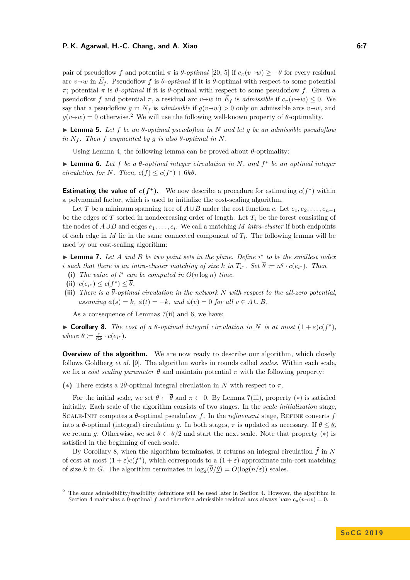#### **P. K. Agarwal, H.-C. Chang, and A. Xiao 6:7**

pair of pseudoflow *f* and potential  $\pi$  is  $\theta$ -*optimal* [\[20,](#page-13-8) [5\]](#page-12-13) if  $c_{\pi}(v \rightarrow w) \ge -\theta$  for every residual arc  $v \rightarrow w$  in  $\vec{E}_f$ . Pseudoflow *f* is  $\theta$ -*optimal* if it is  $\theta$ -optimal with respect to some potential *π*; potential *π* is *θ-optimal* if it is *θ*-optimal with respect to some pseudoflow *f*. Given a pseudoflow *f* and potential  $\pi$ , a residual arc  $v \rightarrow w$  in  $\vec{E}_f$  is *admissible* if  $c_\pi(v \rightarrow w) \leq 0$ . We say that a pseudoflow *g* in  $N_f$  is *admissible* if  $g(v \rightarrow w) > 0$  only on admissible arcs  $v \rightarrow w$ , and  $g(v\rightarrow w) = 0$  otherwise.<sup>[2](#page-6-0)</sup> We will use the following well-known property of  $\theta$ -optimality.

 $\blacktriangleright$  **Lemma 5.** Let f be an  $\theta$ -optimal pseudoflow in N and let g be an admissible pseudoflow  $in$   $N_f$ . Then  $f$  augmented by  $g$  *is also*  $\theta$ -optimal  $in$   $N$ .

Using Lemma [4,](#page-5-1) the following lemma can be proved about  $\theta$ -optimality:

<span id="page-6-3"></span>I **Lemma 6.** *Let f be a θ-optimal integer circulation in N, and f* ∗ *be an optimal integer circulation for N. Then,*  $c(f) \leq c(f^*) + 6k\theta$ *.* 

**Estimating the value of**  $c(f^*)$ . We now describe a procedure for estimating  $c(f^*)$  within a polynomial factor, which is used to initialize the cost-scaling algorithm.

Let *T* be a minimum spanning tree of  $A \cup B$  under the cost function *c*. Let  $e_1, e_2, \ldots, e_{n-1}$ be the edges of *T* sorted in nondecreasing order of length. Let  $T_i$  be the forest consisting of the nodes of  $A \cup B$  and edges  $e_1, \ldots, e_i$ . We call a matching *M intra-cluster* if both endpoints of each edge in  $M$  lie in the same connected component of  $T_i$ . The following lemma will be used by our cost-scaling algorithm:

<span id="page-6-1"></span>► **Lemma 7.** Let *A* and *B* be two point sets in the plane. Define *i*<sup>\*</sup> to be the smallest index *i* such that there is an intra-cluster matching of size  $k$  in  $T_{i^*}$ . Set  $\overline{\theta} := n^q \cdot c(e_{i^*})$ . Then

- (i) The value of  $i^*$  can be computed in  $O(n \log n)$  time.
- <span id="page-6-2"></span>(ii)  $c(e_{i^*}) \leq c(f^*) \leq \overline{\theta}$ .
- <span id="page-6-4"></span>**(iii)** *There is a θ-optimal circulation in the network N with respect to the all-zero potential, assuming*  $\phi(s) = k$ *,*  $\phi(t) = -k$ *, and*  $\phi(v) = 0$  *for all*  $v \in A \cup B$ *.*

As a consequence of Lemmas [7\(](#page-6-1)[ii\)](#page-6-2) and [6,](#page-6-3) we have:

<span id="page-6-6"></span>**► Corollary 8.** *The cost of a*  $\underline{\theta}$ -*optimal integral circulation in N is at most*  $(1 + \varepsilon)c(f^*),$  $where \underline{\theta} := \frac{\varepsilon}{6k} \cdot c(e_{i^*}).$ 

**Overview of the algorithm.** We are now ready to describe our algorithm, which closely follows Goldberg *et al.* [\[9\]](#page-12-0). The algorithm works in rounds called *scales*. Within each scale, we fix a *cost scaling parameter*  $\theta$  and maintain potential  $\pi$  with the following property:

<span id="page-6-5"></span>**(∗)** There exists a 2*θ*-optimal integral circulation in *N* with respect to *π*.

For the initial scale, we set  $\theta \leftarrow \overline{\theta}$  and  $\pi \leftarrow 0$ . By Lemma [7\(](#page-6-1)[iii\)](#page-6-4), property (\*) is satisfied initially. Each scale of the algorithm consists of two stages. In the *scale initialization* stage, Scale-Init computes a *θ*-optimal pseudoflow *f*. In the *refinement* stage, Refine converts *f* into a *θ*-optimal (integral) circulation *g*. In both stages,  $\pi$  is updated as necessary. If  $\theta \leq \theta$ , we return *g*. Otherwise, we set  $\theta \leftarrow \theta/2$  and start the next scale. Note that property (\*) is satisfied in the beginning of each scale.

By Corollary [8,](#page-6-6) when the algorithm terminates, it returns an integral circulation  $\tilde{f}$  in  $N$ of cost at most  $(1+\varepsilon)c(f^*)$ , which corresponds to a  $(1+\varepsilon)$ -approximate min-cost matching of size *k* in *G*. The algorithm terminates in  $\log_2(\theta/\theta) = O(\log(n/\epsilon))$  scales.

<span id="page-6-0"></span><sup>&</sup>lt;sup>2</sup> The same admissibility/feasibility definitions will be used later in Section [4.](#page-10-0) However, the algorithm in Section [4](#page-10-0) maintains a 0-optimal *f* and therefore admissible residual arcs always have  $c_{\pi}(v \rightarrow w) = 0$ .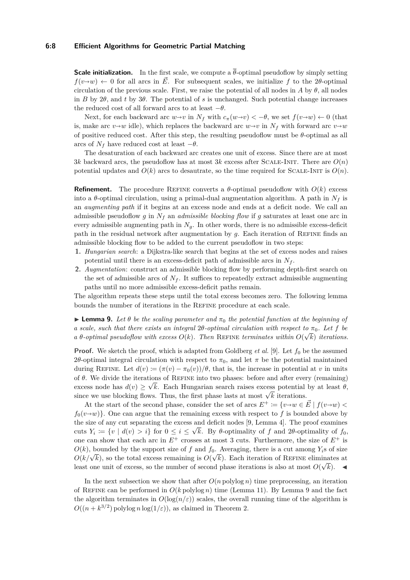#### **6:8 Efficient Algorithms for Geometric Partial Matching**

**Scale initialization.** In the first scale, we compute a  $\overline{\theta}$ -optimal pseudoflow by simply setting  $f(v \rightarrow w) \leftarrow 0$  for all arcs in  $\vec{E}$ . For subsequent scales, we initialize f to the 2*θ*-optimal circulation of the previous scale. First, we raise the potential of all nodes in *A* by  $\theta$ , all nodes in *B* by 2*θ*, and *t* by 3*θ*. The potential of *s* is unchanged. Such potential change increases the reduced cost of all forward arcs to at least  $-\theta$ .

Next, for each backward arc  $w \rightarrow v$  in  $N_f$  with  $c_\pi(w \rightarrow v) < -\theta$ , we set  $f(v \rightarrow w) \leftarrow 0$  (that is, make arc  $v \rightarrow w$  idle), which replaces the backward arc  $w \rightarrow v$  in  $N_f$  with forward arc  $v \rightarrow w$ of positive reduced cost. After this step, the resulting pseudoflow must be  $\theta$ -optimal as all arcs of  $N_f$  have reduced cost at least  $-\theta$ .

The desaturation of each backward arc creates one unit of excess. Since there are at most 3*k* backward arcs, the pseudoflow has at most 3*k* excess after SCALE-INIT. There are  $O(n)$ potential updates and  $O(k)$  arcs to desautrate, so the time required for SCALE-INIT is  $O(n)$ .

**Refinement.** The procedure REFINE converts a  $\theta$ -optimal pseudoflow with  $O(k)$  excess into a  $\theta$ -optimal circulation, using a primal-dual augmentation algorithm. A path in  $N_f$  is an *augmenting path* if it begins at an excess node and ends at a deficit node. We call an admissible pseudoflow *g* in *N<sup>f</sup>* an *admissible blocking flow* if *g* saturates at least one arc in every admissible augmenting path in  $N<sub>q</sub>$ . In other words, there is no admissible excess-deficit path in the residual network after augmentation by *g*. Each iteration of Refine finds an admissible blocking flow to be added to the current pseudoflow in two steps:

- **1.** *Hungarian search*: a Dijkstra-like search that begins at the set of excess nodes and raises potential until there is an excess-deficit path of admissible arcs in  $N_f$ .
- **2.** *Augmentation*: construct an admissible blocking flow by performing depth-first search on the set of admissible arcs of  $N_f$ . It suffices to repeatedly extract admissible augmenting paths until no more admissible excess-deficit paths remain.

The algorithm repeats these steps until the total excess becomes zero. The following lemma bounds the number of iterations in the Refine procedure at each scale.

<span id="page-7-0"></span>**Lemma 9.** Let  $\theta$  be the scaling parameter and  $\pi_0$  the potential function at the beginning of *a* scale, such that there exists an integral  $2\theta$ -optimal circulation with respect to  $\pi_0$ . Let f be  $a \theta$ -optimal pseudoflow with excess  $O(k)$ . Then REFINE terminates within  $O(\sqrt{k})$  iterations.

**Proof.** We sketch the proof, which is adapted from Goldberg *et al.* [\[9\]](#page-12-0). Let  $f_0$  be the assumed 2θ-optimal integral circulation with respect to  $\pi_0$ , and let  $\pi$  be the potential maintained during REFINE. Let  $d(v) := (\pi(v) - \pi_0(v))/\theta$ , that is, the increase in potential at *v* in units of  $\theta$ . We divide the iterations of REFINE into two phases: before and after every (remaining) excess node has  $d(v) \geq \sqrt{k}$ . Each Hungarian search raises excess potential by at least  $\theta$ , excess node has  $u(v) \geq v \kappa$ . Each Hungarian search raises excess potential since we use blocking flows. Thus, the first phase lasts at most  $\sqrt{k}$  iterations.

At the start of the second phase, consider the set of arcs  $E^+ := \{v \rightarrow w \in \vec{E} \mid f(v \rightarrow w)$  $f_0(v\rightarrow w)$ . One can argue that the remaining excess with respect to f is bounded above by the size of any cut separating the excess and deficit nodes [\[9,](#page-12-0) Lemma 4]. The proof examines cuts  $Y_i := \{v \mid d(v) > i\}$  for  $0 \leq i \leq \sqrt{k}$ . By  $\theta$ -optimality of *f* and 2 $\theta$ -optimality of  $f_0$ , one can show that each arc in  $E^+$  crosses at most 3 cuts. Furthermore, the size of  $E^+$  is  $O(k)$ , bounded by the support size of *f* and  $f_0$ . Averaging, there is a cut among  $Y_i$ s of size  $O(k/\sqrt{k})$ , so the total excess remaining is  $O(\sqrt{k})$ . Each iteration of REFINE eliminates at least one unit of excess, so the number of second phase iterations is also at most  $O(\sqrt{k})$ .

In the next subsection we show that after  $O(n \text{ polylog } n)$  time preprocessing, an iteration of REFINE can be performed in  $O(k \text{ polylog } n)$  time (Lemma [11\)](#page-9-0). By Lemma [9](#page-7-0) and the fact the algorithm terminates in  $O(\log(n/\epsilon))$  scales, the overall running time of the algorithm is  $O((n + k^{3/2})$  polylog *n* log( $1/\varepsilon$ )), as claimed in Theorem [2.](#page-2-1)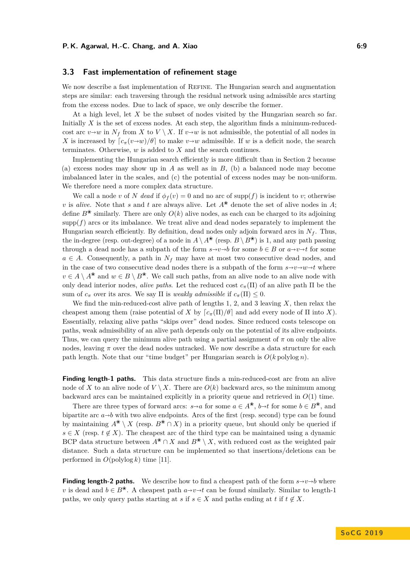## <span id="page-8-0"></span>**3.3 Fast implementation of refinement stage**

We now describe a fast implementation of Refine. The Hungarian search and augmentation steps are similar: each traversing through the residual network using admissible arcs starting from the excess nodes. Due to lack of space, we only describe the former.

At a high level, let *X* be the subset of nodes visited by the Hungarian search so far. Initially *X* is the set of excess nodes. At each step, the algorithm finds a minimum-reducedcost arc  $v \rightarrow w$  in  $N_f$  from *X* to *V* \ *X*. If  $v \rightarrow w$  is not admissible, the potential of all nodes in *X* is increased by  $\lceil c_{\pi}(v \rightarrow w)/\theta \rceil$  to make  $v \rightarrow w$  admissible. If *w* is a deficit node, the search terminates. Otherwise, *w* is added to *X* and the search continues.

Implementing the Hungarian search efficiently is more difficult than in Section [2](#page-3-0) because (a) excess nodes may show up in *A* as well as in *B*, (b) a balanced node may become imbalanced later in the scales, and (c) the potential of excess nodes may be non-uniform. We therefore need a more complex data structure.

We call a node *v* of *N* dead if  $\phi_f(v) = 0$  and no arc of supp(f) is incident to *v*; otherwise *v* is *alive*. Note that *s* and *t* are always alive. Let  $A^*$  denote the set of alive nodes in *A*; define  $B^*$  similarly. There are only  $O(k)$  alive nodes, as each can be charged to its adjoining  $\text{supp}(f)$  arcs or its imbalance. We treat alive and dead nodes separately to implement the Hungarian search efficiently. By definition, dead nodes only adjoin forward arcs in  $N_f$ . Thus, the in-degree (resp. out-degree) of a node in  $A \setminus A^*$  (resp.  $B \setminus B^*$ ) is 1, and any path passing through a dead node has a subpath of the form  $s \rightarrow v \rightarrow b$  for some  $b \in B$  or  $a \rightarrow v \rightarrow t$  for some  $a \in A$ . Consequently, a path in  $N_f$  may have at most two consecutive dead nodes, and in the case of two consecutive dead nodes there is a subpath of the form  $s \rightarrow v \rightarrow w \rightarrow t$  where  $v \in A \setminus A^*$  and  $w \in B \setminus B^*$ . We call such paths, from an alive node to an alive node with only dead interior nodes, *alive paths*. Let the reduced cost  $c_{\pi}(\Pi)$  of an alive path  $\Pi$  be the sum of  $c_{\pi}$  over its arcs. We say  $\Pi$  is *weakly admissible* if  $c_{\pi}(\Pi) \leq 0$ .

We find the min-reduced-cost alive path of lengths 1, 2, and 3 leaving *X*, then relax the cheapest among them (raise potential of *X* by  $\lceil c_{\pi}(\Pi)/\theta \rceil$  and add every node of  $\Pi$  into *X*). Essentially, relaxing alive paths "skips over" dead nodes. Since reduced costs telescope on paths, weak admissibility of an alive path depends only on the potential of its alive endpoints. Thus, we can query the minimum alive path using a partial assignment of  $\pi$  on only the alive nodes, leaving *π* over the dead nodes untracked. We now describe a data structure for each path length. Note that our "time budget" per Hungarian search is  $O(k \text{ polylog } n)$ .

**Finding length-1 paths.** This data structure finds a min-reduced-cost arc from an alive node of X to an alive node of  $V \setminus X$ . There are  $O(k)$  backward arcs, so the minimum among backward arcs can be maintained explicitly in a priority queue and retrieved in  $O(1)$  time.

There are three types of forward arcs:  $s \rightarrow a$  for some  $a \in A^*$ ,  $b \rightarrow t$  for some  $b \in B^*$ , and bipartite arc  $a \rightarrow b$  with two alive endpoints. Arcs of the first (resp. second) type can be found by maintaining  $A^* \setminus X$  (resp.  $B^* \cap X$ ) in a priority queue, but should only be queried if  $s \in X$  (resp.  $t \notin X$ ). The cheapest arc of the third type can be maintained using a dynamic BCP data structure between  $A^* \cap X$  and  $B^* \setminus X$ , with reduced cost as the weighted pair distance. Such a data structure can be implemented so that insertions/deletions can be performed in  $O(polylog k)$  time [\[11\]](#page-12-6).

**Finding length-2 paths.** We describe how to find a cheapest path of the form  $s \rightarrow v \rightarrow b$  where *v* is dead and *b* ∈ *B*<sup> $\circledast$ </sup>. A cheapest path *a→v→t* can be found similarly. Similar to length-1 paths, we only query paths starting at *s* if  $s \in X$  and paths ending at *t* if  $t \notin X$ .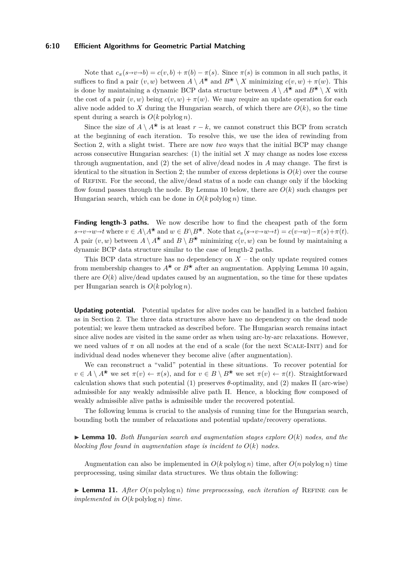#### **6:10 Efficient Algorithms for Geometric Partial Matching**

Note that  $c_{\pi}(s \rightarrow v \rightarrow b) = c(v, b) + \pi(b) - \pi(s)$ . Since  $\pi(s)$  is common in all such paths, it suffices to find a pair  $(v, w)$  between  $A \setminus A^*$  and  $B^* \setminus X$  minimizing  $c(v, w) + \pi(w)$ . This is done by maintaining a dynamic BCP data structure between  $A \setminus A^*$  and  $B^* \setminus X$  with the cost of a pair  $(v, w)$  being  $c(v, w) + \pi(w)$ . We may require an update operation for each alive node added to X during the Hungarian search, of which there are  $O(k)$ , so the time spent during a search is  $O(k \text{ polylog } n)$ .

Since the size of *A* \  $A^*$  is at least  $r - k$ , we cannot construct this BCP from scratch at the beginning of each iteration. To resolve this, we use the idea of rewinding from Section [2,](#page-3-0) with a slight twist. There are now *two* ways that the initial BCP may change across consecutive Hungarian searches: (1) the initial set *X* may change as nodes lose excess through augmentation, and (2) the set of alive/dead nodes in *A* may change. The first is identical to the situation in Section [2;](#page-3-0) the number of excess depletions is  $O(k)$  over the course of Refine. For the second, the alive/dead status of a node can change only if the blocking flow found passes through the node. By Lemma [10](#page-9-1) below, there are *O*(*k*) such changes per Hungarian search, which can be done in  $O(k \text{ polylog } n)$  time.

**Finding length-3 paths.** We now describe how to find the cheapest path of the form  $s\rightarrow v\rightarrow w\rightarrow t$  where  $v\in A\setminus A^*$  and  $w\in B\setminus B^*$ . Note that  $c_\pi(s\rightarrow v\rightarrow w\rightarrow t)=c(v\rightarrow w)-\pi(s)+\pi(t)$ . A pair  $(v, w)$  between  $A \setminus A^*$  and  $B \setminus B^*$  minimizing  $c(v, w)$  can be found by maintaining a dynamic BCP data structure similar to the case of length-2 paths.

This BCP data structure has no dependency on  $X$  – the only update required comes from membership changes to  $A^*$  or  $B^*$  after an augmentation. Applying Lemma [10](#page-9-1) again, there are  $O(k)$  alive/dead updates caused by an augmentation, so the time for these updates per Hungarian search is *O*(*k* polylog *n*).

**Updating potential.** Potential updates for alive nodes can be handled in a batched fashion as in Section [2.](#page-3-0) The three data structures above have no dependency on the dead node potential; we leave them untracked as described before. The Hungarian search remains intact since alive nodes are visited in the same order as when using arc-by-arc relaxations. However, we need values of  $\pi$  on all nodes at the end of a scale (for the next SCALE-INIT) and for individual dead nodes whenever they become alive (after augmentation).

We can reconstruct a "valid" potential in these situations. To recover potential for  $v \in A \setminus A^*$  we set  $\pi(v) \leftarrow \pi(s)$ , and for  $v \in B \setminus B^*$  we set  $\pi(v) \leftarrow \pi(t)$ . Straightforward calculation shows that such potential (1) preserves *θ*-optimality, and (2) makes Π (arc-wise) admissible for any weakly admissible alive path Π. Hence, a blocking flow composed of weakly admissible alive paths is admissible under the recovered potential.

The following lemma is crucial to the analysis of running time for the Hungarian search, bounding both the number of relaxations and potential update/recovery operations.

<span id="page-9-1"></span> $\triangleright$  **Lemma 10.** *Both Hungarian search and augmentation stages explore*  $O(k)$  *nodes, and the blocking flow found in augmentation stage is incident to*  $O(k)$  *nodes.* 

Augmentation can also be implemented in  $O(k \text{ polylog } n)$  time, after  $O(n \text{ polylog } n)$  time preprocessing, using similar data structures. We thus obtain the following:

<span id="page-9-0"></span>**If Lemma 11.** *After*  $O(n \text{ polylog } n)$  *time preprocessing, each iteration of* REFINE *can be implemented in O*(*k* polylog *n*) *time.*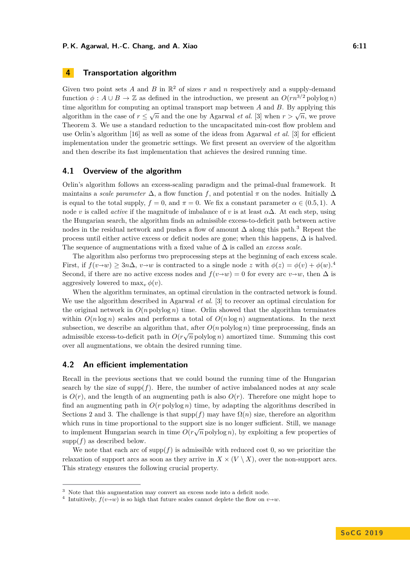# <span id="page-10-0"></span>**4 Transportation algorithm**

Given two point sets  $A$  and  $B$  in  $\mathbb{R}^2$  of sizes  $r$  and  $n$  respectively and a supply-demand function  $\phi : A \cup B \to \mathbb{Z}$  as defined in the introduction, we present an  $O(rn^{3/2} \text{ polylog } n)$ time algorithm for computing an optimal transport map between *A* and *B*. By applying this algorithm in the case of  $r \leq \sqrt{n}$  and the one by Agarwal *et al.* [\[3\]](#page-12-11) when  $r > \sqrt{n}$ , we prove Theorem [3.](#page-2-2) We use a standard reduction to the uncapacitated min-cost flow problem and use Orlin's algorithm [\[16\]](#page-13-7) as well as some of the ideas from Agarwal *et al.* [\[3\]](#page-12-11) for efficient implementation under the geometric settings. We first present an overview of the algorithm and then describe its fast implementation that achieves the desired running time.

# **4.1 Overview of the algorithm**

Orlin's algorithm follows an excess-scaling paradigm and the primal-dual framework. It maintains a *scale parameter*  $\Delta$ , a flow function *f*, and potential  $\pi$  on the nodes. Initially  $\Delta$ is equal to the total supply,  $f = 0$ , and  $\pi = 0$ . We fix a constant parameter  $\alpha \in (0.5, 1)$ . A node *v* is called *active* if the magnitude of imbalance of *v* is at least  $\alpha\Delta$ . At each step, using the Hungarian search, the algorithm finds an admissible excess-to-deficit path between active nodes in the residual network and pushes a flow of amount ∆ along this path.[3](#page-10-1) Repeat the process until either active excess or deficit nodes are gone; when this happens,  $\Delta$  is halved. The sequence of augmentations with a fixed value of ∆ is called an *excess scale*.

The algorithm also performs two preprocessing steps at the beginning of each excess scale. First, if  $f(v \to w) \ge 3n\Delta$ ,  $v \to w$  is contracted to a single node *z* with  $\phi(z) = \phi(v) + \phi(w)$ .<sup>[4](#page-10-2)</sup><br>Second if there are no estimated are nodes and  $f(w,w) = 0$  for around are *x* without  $\Delta$  is Second, if there are no active excess nodes and  $f(v \rightarrow w) = 0$  for every arc  $v \rightarrow w$ , then  $\Delta$  is aggresively lowered to  $\max_{v} \phi(v)$ .

When the algorithm terminates, an optimal circulation in the contracted network is found. We use the algorithm described in Agarwal *et al.* [\[3\]](#page-12-11) to recover an optimal circulation for the original network in  $O(n \text{ polylog } n)$  time. Orlin showed that the algorithm terminates within  $O(n \log n)$  scales and performs a total of  $O(n \log n)$  augmentations. In the next subsection, we describe an algorithm that, after  $O(n \text{ polylog } n)$  time preprocessing, finds and  $\frac{1}{2}$  of  $\sqrt{2}$  in  $\frac{1}{2}$  in  $\frac{1}{2}$  in  $\frac{1}{2}$  in  $\frac{1}{2}$  in  $\frac{1}{2}$  in  $\frac{1}{2}$  in  $\frac{1}{2}$  in  $\frac{1}{2}$  in admissible excess-to-deficit path in  $O(r\sqrt{n})$  polylog *n*) amortized time. Summing this cost over all augmentations, we obtain the desired running time.

# **4.2 An efficient implementation**

Recall in the previous sections that we could bound the running time of the Hungarian search by the size of supp $(f)$ . Here, the number of active imbalanced nodes at any scale is  $O(r)$ , and the length of an augmenting path is also  $O(r)$ . Therefore one might hope to find an augmenting path in  $O(r \text{ polylog } n)$  time, by adapting the algorithms described in Sections [2](#page-3-0) and [3.](#page-4-0) The challenge is that supp $(f)$  may have  $\Omega(n)$  size, therefore an algorithm which runs in time proportional to the support size is no longer sufficient. Still, we manage to implement Hungarian search in time  $O(r\sqrt{n} \text{ polylog } n)$ , by exploiting a few properties of  $supp(f)$  as described below.

We note that each arc of supp $(f)$  is admissible with reduced cost 0, so we prioritize the relaxation of support arcs as soon as they arrive in  $X \times (V \setminus X)$ , over the non-support arcs. This strategy ensures the following crucial property.

<span id="page-10-1"></span><sup>3</sup> Note that this augmentation may convert an excess node into a deficit node.

<span id="page-10-2"></span><sup>&</sup>lt;sup>4</sup> Intuitively,  $f(v \rightarrow w)$  is so high that future scales cannot deplete the flow on  $v \rightarrow w$ .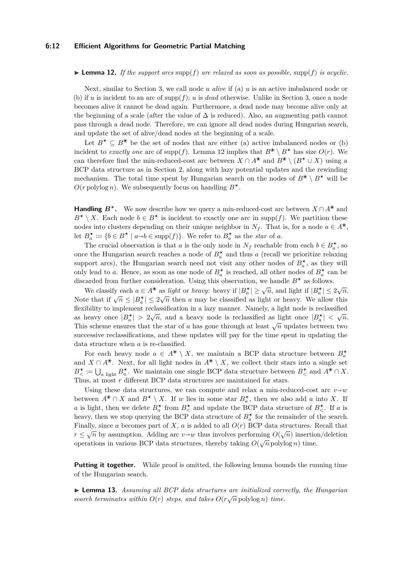#### **6:12 Efficient Algorithms for Geometric Partial Matching**

#### <span id="page-11-0"></span>**Lemma 12.** If the support arcs  $\text{supp}(f)$  are relaxed as soon as possible,  $\text{supp}(f)$  is acyclic.

Next, similar to Section [3,](#page-4-0) we call node *u alive* if (a) *u* is an active imbalanced node or (b) if *u* is incident to an arc of supp $(f)$ ; *u* is *dead* otherwise. Unlike in Section [3,](#page-4-0) once a node becomes alive it cannot be dead again. Furthermore, a dead node may become alive only at the beginning of a scale (after the value of  $\Delta$  is reduced). Also, an augmenting path cannot pass through a dead node. Therefore, we can ignore all dead nodes during Hungarian search, and update the set of alive/dead nodes at the beginning of a scale.

Let  $B^* \subseteq B^*$  be the set of nodes that are either (a) active imbalanced nodes or (b) incident to *exactly one* arc of supp(*f*). Lemma [12](#page-11-0) implies that  $B^* \setminus B^*$  has size  $O(r)$ . We can therefore find the min-reduced-cost arc between  $X \cap A^*$  and  $B^* \setminus (B^* \cup X)$  using a BCP data structure as in Section [2,](#page-3-0) along with lazy potential updates and the rewinding mechanism. The total time spent by Hungarian search on the nodes of  $B^* \setminus B^*$  will be  $O(r \text{ polylog } n)$ . We subsequently focus on handling  $B^*$ .

**Handling**  $B^*$ . We now describe how we query a min-reduced-cost arc between  $X \cap A^*$  and  $B^* \setminus X$ . Each node  $b \in B^*$  is incident to exactly one arc in supp(*f*). We partition these nodes into clusters depending on their unique neighbor in  $N_f$ . That is, for a node  $a \in A^*$ , let  $B^*_{a} := \{b \in B^* \mid a \rightarrow b \in \text{supp}(f)\}$ . We refer to  $B^*_{a}$  as the *star* of *a*.

The crucial observation is that *a* is the only node in  $N_f$  reachable from each  $b \in B_a^*$ , so once the Hungarian search reaches a node of  $B^*_{a}$  and thus *a* (recall we prioritize relaxing support arcs), the Hungarian search need not visit any other nodes of  $B^*_{a}$ , as they will only lead to *a*. Hence, as soon as one node of  $B^*_{a}$  is reached, all other nodes of  $B^*_{a}$  can be discarded from further consideration. Using this observation, we handle  $B^*$  as follows.

We classify each  $a \in A^*$  as *light* or *heavy*: heavy if  $|B^*_a| \ge \sqrt{n}$ , and light if  $|B^*_a| \le 2\sqrt{n}$ . Note that if  $\sqrt{n} \leq |B_{a}^{*}| \leq 2\sqrt{n}$  then *a* may be classified as light or heavy. We allow this flexibility to implement reclassification in a lazy manner. Namely, a light node is reclassified as heavy once  $|B^*_{\alpha}| > 2\sqrt{n}$ , and a heavy node is reclassified as light once  $|B^*_{\alpha}| < \sqrt{n}$ . This scheme ensures that the star of *a* has gone through at least  $\sqrt{n}$  updates between two successive reclassifications, and these updates will pay for the time spent in updating the data structure when *a* is re-classified.

For each heavy node  $a \in A^* \setminus X$ , we maintain a BCP data structure between  $B^*_a$ and  $X \cap A^*$ . Next, for all light nodes in  $A^* \setminus X$ , we collect their stars into a single set  $B^*_{\leq} := \bigcup_{a \text{ light}} B^*_a$ . We maintain one single BCP data structure between  $B^*_{\leq}$  and  $A^* \cap X$ . Thus, at most *r* different BCP data structures are maintained for stars.

Using these data structures, we can compute and relax a min-reduced-cost arc  $v \rightarrow w$ between  $A^* \cap X$  and  $B^* \setminus X$ . If *w* lies in some star  $B^*_a$ , then we also add *a* into *X*. If *a* is light, then we delete  $B^*_{a}$  from  $B^*_{<}$  and update the BCP data structure of  $B^*_{<}$ . If *a* is heavy, then we stop querying the BCP data structure of  $B^*_{a}$  for the remainder of the search. Finally, since *a* becomes part of *X*, *a* is added to all *O*(*r*) BCP data structures. Recall that *r* ≤  $\sqrt{n}$  by assumption. Adding arc *v* $\rightarrow w$  thus involves performing  $O(\sqrt{n})$  insertion/deletion concretions in unions *DCD* data structures, thereby taking  $O(\sqrt{n})$  insertion/deletion operations in various BCP data structures, thereby taking  $O(\sqrt{n}\text{ polylog }n)$  time.

Putting it together. While proof is omitted, the following lemma bounds the running time of the Hungarian search.

I **Lemma 13.** *Assuming all BCP data structures are initialized correctly, the Hungarian* √ *search terminates within*  $O(r)$  *steps, and takes*  $O(r\sqrt{n} \text{ polylog } n)$  *time.*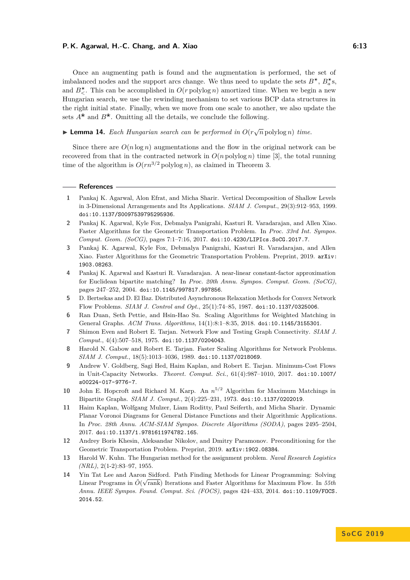#### **P. K. Agarwal, H.-C. Chang, and A. Xiao 6:13** 6:13

Once an augmenting path is found and the augmentation is performed, the set of imbalanced nodes and the support arcs change. We thus need to update the sets  $B^*$ ,  $B^*_{a}$ s, and  $B_{\leq}^*$ . This can be accomplished in  $O(r \text{ polylog } n)$  amortized time. When we begin a new Hungarian search, we use the rewinding mechanism to set various BCP data structures in the right initial state. Finally, when we move from one scale to another, we also update the sets  $A^*$  and  $B^*$ . Omitting all the details, we conclude the following.

# ▶ **Lemma 14.** *Each Hungarian search can be performed in*  $O(r\sqrt{n})$  polylog *n*) *time.*

Since there are  $O(n \log n)$  augmentations and the flow in the original network can be recovered from that in the contracted network in  $O(n \text{ polylog } n)$  time [\[3\]](#page-12-11), the total running time of the algorithm is  $O(rn^{3/2} \text{ polylog } n)$ , as claimed in Theorem [3.](#page-2-2)

#### **References**

- <span id="page-12-7"></span>**1** Pankaj K. Agarwal, Alon Efrat, and Micha Sharir. Vertical Decomposition of Shallow Levels in 3-Dimensional Arrangements and Its Applications. *SIAM J. Comput.*, 29(3):912–953, 1999. [doi:10.1137/S0097539795295936](http://dx.doi.org/10.1137/S0097539795295936).
- <span id="page-12-10"></span>**2** Pankaj K. Agarwal, Kyle Fox, Debmalya Panigrahi, Kasturi R. Varadarajan, and Allen Xiao. Faster Algorithms for the Geometric Transportation Problem. In *Proc. 33rd Int. Sympos. Comput. Geom. (SoCG)*, pages 7:1–7:16, 2017. [doi:10.4230/LIPIcs.SoCG.2017.7](http://dx.doi.org/10.4230/LIPIcs.SoCG.2017.7).
- <span id="page-12-11"></span>**3** Pankaj K. Agarwal, Kyle Fox, Debmalya Panigrahi, Kasturi R. Varadarajan, and Allen Xiao. Faster Algorithms for the Geometric Transportation Problem. Preprint, 2019. [arXiv:](http://arxiv.org/abs/1903.08263) [1903.08263](http://arxiv.org/abs/1903.08263).
- <span id="page-12-8"></span>**4** Pankaj K. Agarwal and Kasturi R. Varadarajan. A near-linear constant-factor approximation for Euclidean bipartite matching? In *Proc. 20th Annu. Sympos. Comput. Geom. (SoCG)*, pages 247–252, 2004. [doi:10.1145/997817.997856](http://dx.doi.org/10.1145/997817.997856).
- <span id="page-12-13"></span>**5** D. Bertsekas and D. El Baz. Distributed Asynchronous Relaxation Methods for Convex Network Flow Problems. *SIAM J. Control and Opt.*, 25(1):74–85, 1987. [doi:10.1137/0325006](http://dx.doi.org/10.1137/0325006).
- <span id="page-12-5"></span>**6** Ran Duan, Seth Pettie, and Hsin-Hao Su. Scaling Algorithms for Weighted Matching in General Graphs. *ACM Trans. Algorithms*, 14(1):8:1–8:35, 2018. [doi:10.1145/3155301](http://dx.doi.org/10.1145/3155301).
- <span id="page-12-2"></span>**7** Shimon Even and Robert E. Tarjan. Network Flow and Testing Graph Connectivity. *SIAM J. Comput.*, 4(4):507–518, 1975. [doi:10.1137/0204043](http://dx.doi.org/10.1137/0204043).
- <span id="page-12-4"></span>**8** Harold N. Gabow and Robert E. Tarjan. Faster Scaling Algorithms for Network Problems. *SIAM J. Comput.*, 18(5):1013–1036, 1989. [doi:10.1137/0218069](http://dx.doi.org/10.1137/0218069).
- <span id="page-12-0"></span>**9** Andrew V. Goldberg, Sagi Hed, Haim Kaplan, and Robert E. Tarjan. Minimum-Cost Flows in Unit-Capacity Networks. *Theoret. Comput. Sci.*, 61(4):987–1010, 2017. [doi:10.1007/](http://dx.doi.org/10.1007/s00224-017-9776-7) [s00224-017-9776-7](http://dx.doi.org/10.1007/s00224-017-9776-7).
- <span id="page-12-1"></span>**10** John E. Hopcroft and Richard M. Karp. An *n* <sup>5</sup>*/*<sup>2</sup> Algorithm for Maximum Matchings in Bipartite Graphs. *SIAM J. Comput.*, 2(4):225–231, 1973. [doi:10.1137/0202019](http://dx.doi.org/10.1137/0202019).
- <span id="page-12-6"></span>**11** Haim Kaplan, Wolfgang Mulzer, Liam Roditty, Paul Seiferth, and Micha Sharir. Dynamic Planar Voronoi Diagrams for General Distance Functions and their Algorithmic Applications. In *Proc. 28th Annu. ACM-SIAM Sympos. Discrete Algorithms (SODA)*, pages 2495–2504, 2017. [doi:10.1137/1.9781611974782.165](http://dx.doi.org/10.1137/1.9781611974782.165).
- <span id="page-12-12"></span>**12** Andrey Boris Khesin, Aleksandar Nikolov, and Dmitry Paramonov. Preconditioning for the Geometric Transportation Problem. Preprint, 2019. [arXiv:1902.08384](http://arxiv.org/abs/1902.08384).
- <span id="page-12-3"></span>**13** Harold W. Kuhn. The Hungarian method for the assignment problem. *Naval Research Logistics (NRL)*, 2(1-2):83–97, 1955.
- <span id="page-12-9"></span>**14** Yin Tat Lee and Aaron Sidford. Path Finding Methods for Linear Programming: Solving Linear Programs in  $\tilde{O}(\sqrt{\text{rank}})$  Iterations and Faster Algorithms for Maximum Flow. In  $55th$ *Annu. IEEE Sympos. Found. Comput. Sci. (FOCS)*, pages 424–433, 2014. [doi:10.1109/FOCS.](http://dx.doi.org/10.1109/FOCS.2014.52) [2014.52](http://dx.doi.org/10.1109/FOCS.2014.52).